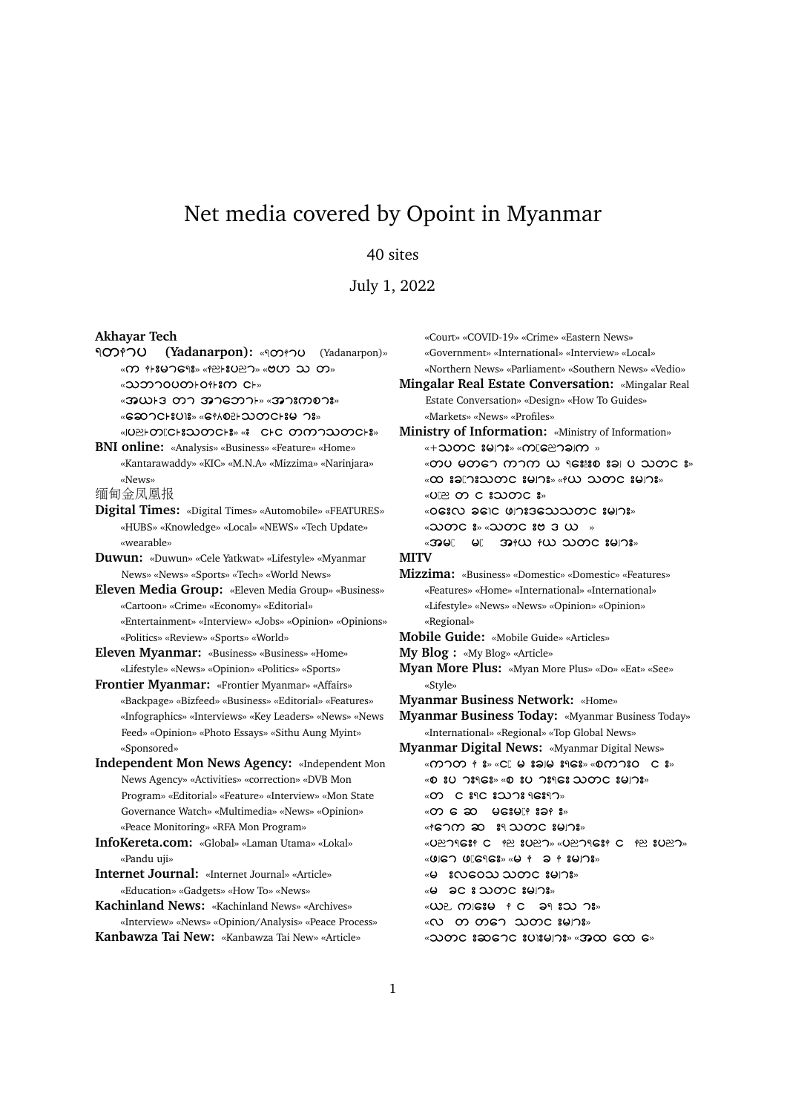## Net media covered by Opoint in Myanmar

## 40 sites

July 1, 2022

## **Akhayar Tech**

ရတႏၫပ (Yadanarpon): «จากวง (Yadanarpon)» « m + 897698» « + 2 8027» « 907 20 m» «2020700001-011800 CH» «အယ⊦ဒ္ တၫ အၫဘေၫ⊦» «အၫးကစၥး»

«ဆောင္းပါး» «ေန႔စဥ္ပါးသတင္ထုိးမွ ား»

«JUEH ODICH 32 ODCH 3» « CHC ODM TO 20 ODCH 3» **BNI online:** «Analysis» «Business» «Feature» «Home»

«Kantarawaddy» «KIC» «M.N.A» «Mizzima» «Narinjara» «News» <sup>缅</sup>甸金凤凰报

**Digital Times:** «Digital Times» «Automobile» «FEATURES» «HUBS» «Knowledge» «Local» «NEWS» «Tech Update» «wearable»

**Duwun:** «Duwun» «Cele Yatkwat» «Lifestyle» «Myanmar News» «News» «Sports» «Tech» «World News»

**Eleven Media Group:** «Eleven Media Group» «Business» «Cartoon» «Crime» «Economy» «Editorial» «Entertainment» «Interview» «Jobs» «Opinion» «Opinions» «Politics» «Review» «Sports» «World»

**Eleven Myanmar:** «Business» «Business» «Home» «Lifestyle» «News» «Opinion» «Politics» «Sports»

**Frontier Myanmar:** «Frontier Myanmar» «Affairs» «Backpage» «Bizfeed» «Business» «Editorial» «Features» «Infographics» «Interviews» «Key Leaders» «News» «News Feed» «Opinion» «Photo Essays» «Sithu Aung Myint» «Sponsored»

**Independent Mon News Agency:** «Independent Mon News Agency» «Activities» «correction» «DVB Mon Program» «Editorial» «Feature» «Interview» «Mon State Governance Watch» «Multimedia» «News» «Opinion» «Peace Monitoring» «RFA Mon Program»

**InfoKereta.com:** «Global» «Laman Utama» «Lokal» «Pandu uji»

**Internet Journal:** «Internet Journal» «Article» «Education» «Gadgets» «How To» «News»

**Kachinland News:** «Kachinland News» «Archives» «Interview» «News» «Opinion/Analysis» «Peace Process» **Kanbawza Tai New:** «Kanbawza Tai New» «Article»

«Court» «COVID-19» «Crime» «Eastern News» «Government» «International» «Interview» «Local» «Northern News» «Parliament» «Southern News» «Vedio» **Mingalar Real Estate Conversation:** «Mingalar Real Estate Conversation» «Design» «How To Guides» «Markets» «News» «Profiles» **Ministry of Information:** «Ministry of Information»  $*+2000C$   $89178*$  $600C$  $8010$   $*$ «တပ မတ္ေ ကာက္ ယူ ရႊိးးစ္ းခါ ပ သတင္ း»  $\alpha$   $\infty$   $\alpha$   $\infty$   $\alpha$   $\infty$   $\infty$   $\infty$   $\infty$   $\infty$   $\infty$   $\infty$   $\infty$   $\infty$  $\kappa$ UP  $\Omega$  C  $\Omega$   $\Omega$   $\Omega$   $\Omega$   $\Omega$ « OGIN JEIC UNIGENNOUC IYIS»  $\sim$  3000  $\sim$  80  $\sim$  8000  $\sim$  8000  $\sim$  8000  $\sim$ «အများ များ အုန္ပယ္လ နယ္လ သတင္းများ» **MITV Mizzima:** «Business» «Domestic» «Domestic» «Features» «Features» «Home» «International» «International» «Lifestyle» «News» «News» «Opinion» «Opinion» «Regional» **Mobile Guide:** «Mobile Guide» «Articles» **My Blog :** «My Blog» «Article» **Myan More Plus:** «Myan More Plus» «Do» «Eat» «See» «Style» **Myanmar Business Network:** «Home» **Myanmar Business Today:** «Myanmar Business Today» «International» «Regional» «Top Global News» **Myanmar Digital News:** «Myanmar Digital News»  $\alpha$   $\infty$   $\infty$   $\infty$   $\infty$   $\infty$   $\infty$   $\infty$   $\infty$   $\infty$   $\infty$   $\infty$   $\infty$   $\infty$   $\infty$   $\infty$   $\infty$   $\infty$   $\infty$   $\infty$   $\infty$   $\infty$   $\infty$   $\infty$   $\infty$   $\infty$   $\infty$   $\infty$   $\infty$   $\infty$   $\infty$   $\infty$   $\infty$   $\infty$   $\infty$   $\infty$   $\infty$  « » « » « O C 89C 82178 96897» « »  $\triangleleft$  ( $\triangleleft$   $\triangleleft$   $\triangleleft$   $\triangleleft$   $\triangleleft$   $\triangleleft$   $\triangleleft$   $\triangleleft$   $\triangleleft$   $\triangleleft$   $\triangleleft$   $\triangleleft$   $\triangleleft$   $\triangleleft$   $\triangleleft$   $\triangleleft$   $\triangleleft$   $\triangleleft$   $\triangleleft$   $\triangleleft$   $\triangleleft$   $\triangleleft$   $\triangleleft$   $\triangleleft$   $\triangleleft$   $\triangleleft$   $\triangleleft$   $\triangleleft$   $\triangleleft$   $\triangleleft$   $\triangleleft$   $\triangleleft$   $\triangleleft$   $\triangleleft$   $\triangleleft$   $\triangleleft$ «UPCSI C PP SUPO» «UPORSI C PP SUPO» « UIG ? UIG ? GS » « U + 2 + 8 4 1 ? » «မ းလဝေသ သတင<sup>္</sup>းမ၊ား» « »  $\langle \omega \rangle$  misse  $\uparrow$  c an say  $\eta$  s  $\sim$ «လ တ တ၅ေ သတင္ းမ၊ွား»

 $\alpha$ 2000  $\alpha$  3000  $\alpha$  300  $\alpha$   $\alpha$   $\beta$   $\beta$